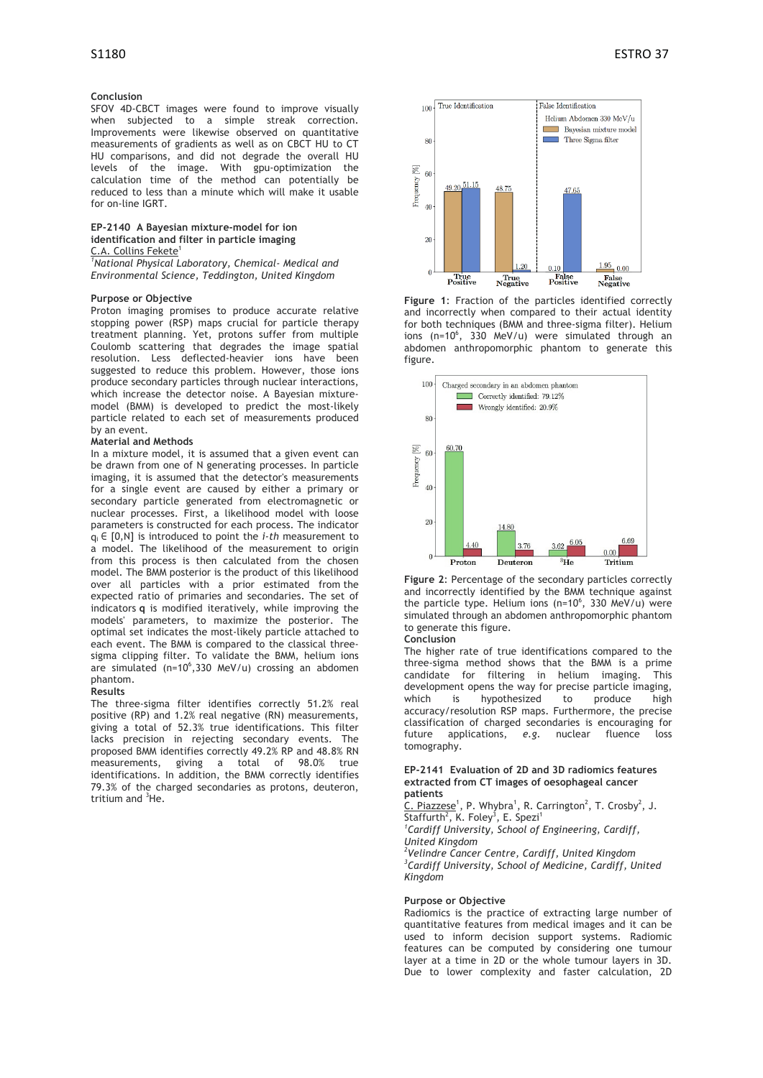# **Conclusion**

SFOV 4D-CBCT images were found to improve visually when subjected to a simple streak correction. Improvements were likewise observed on quantitative measurements of gradients as well as on CBCT HU to CT HU comparisons, and did not degrade the overall HU levels of the image. With gpu-optimization the calculation time of the method can potentially be reduced to less than a minute which will make it usable for on-line IGRT.

# **EP-2140 A Bayesian mixture-model for ion identification and filter in particle imaging**

C.A. Collins Fekete<sup>1</sup> *1 National Physical Laboratory, Chemical- Medical and Environmental Science, Teddington, United Kingdom*

# **Purpose or Objective**

Proton imaging promises to produce accurate relative stopping power (RSP) maps crucial for particle therapy treatment planning. Yet, protons suffer from multiple Coulomb scattering that degrades the image spatial resolution. Less deflected-heavier ions have been suggested to reduce this problem. However, those ions produce secondary particles through nuclear interactions, which increase the detector noise. A Bayesian mixturemodel (BMM) is developed to predict the most-likely particle related to each set of measurements produced by an event.

# **Material and Methods**

In a mixture model, it is assumed that a given event can be drawn from one of N generating processes. In particle imaging, it is assumed that the detector's measurements for a single event are caused by either a primary or secondary particle generated from electromagnetic or nuclear processes. First, a likelihood model with loose parameters is constructed for each process. The indicator qi ∈ [0,N] is introduced to point the *i-th* measurement to a model. The likelihood of the measurement to origin from this process is then calculated from the chosen model. The BMM posterior is the product of this likelihood over all particles with a prior estimated from the expected ratio of primaries and secondaries. The set of indicators **q** is modified iteratively, while improving the models' parameters, to maximize the posterior. The optimal set indicates the most-likely particle attached to each event. The BMM is compared to the classical threesigma clipping filter. To validate the BMM, helium ions are simulated  $(n=10^6, 330 \text{ MeV/u})$  crossing an abdomen phantom.

#### **Results**

The three-sigma filter identifies correctly 51.2% real positive (RP) and 1.2% real negative (RN) measurements, giving a total of 52.3% true identifications. This filter lacks precision in rejecting secondary events. The proposed BMM identifies correctly 49.2% RP and 48.8% RN measurements, giving a total of 98.0% true identifications. In addition, the BMM correctly identifies 79.3% of the charged secondaries as protons, deuteron, tritium and <sup>3</sup>He.



**Figure 1**: Fraction of the particles identified correctly and incorrectly when compared to their actual identity for both techniques (BMM and three-sigma filter). Helium ions (n=10 $^6$ , 330 MeV/u) were simulated through an abdomen anthropomorphic phantom to generate this figure.



**Figure 2**: Percentage of the secondary particles correctly and incorrectly identified by the BMM technique against the particle type. Helium ions (n=10 $^6$ , 330 MeV/u) were simulated through an abdomen anthropomorphic phantom to generate this figure.

# **Conclusion**

The higher rate of true identifications compared to the three-sigma method shows that the BMM is a prime candidate for filtering in helium imaging. This development opens the way for precise particle imaging, which is hypothesized to produce high accuracy/resolution RSP maps. Furthermore, the precise classification of charged secondaries is encouraging for future applications, *e.g.* nuclear fluence loss tomography.

# **EP-2141 Evaluation of 2D and 3D radiomics features extracted from CT images of oesophageal cancer patients**

C. Piazzese<sup>1</sup>, P. Whybra<sup>1</sup>, R. Carrington<sup>2</sup>, T. Crosby<sup>2</sup>, J. Staffurth<sup>2</sup>, K. Foley<sup>3</sup>, E. Spezi<sup>1</sup>

*1 Cardiff University, School of Engineering, Cardiff, United Kingdom*

*2 Velindre Cancer Centre, Cardiff, United Kingdom 3 Cardiff University, School of Medicine, Cardiff, United Kingdom*

### **Purpose or Objective**

Radiomics is the practice of extracting large number of quantitative features from medical images and it can be used to inform decision support systems. Radiomic features can be computed by considering one tumour layer at a time in 2D or the whole tumour layers in 3D. Due to lower complexity and faster calculation, 2D